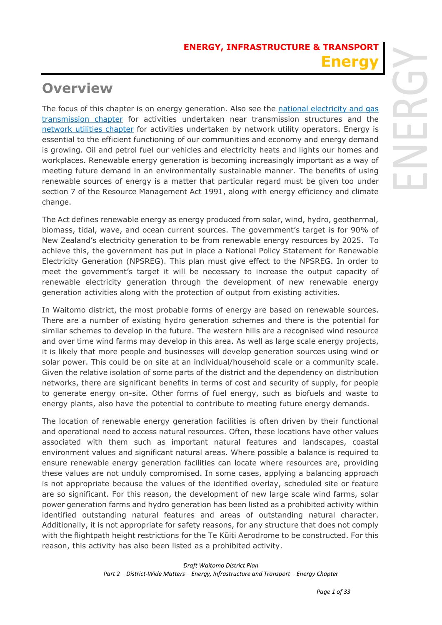# **Overview**

The focus of this chapter is on energy generation. Also see the national electricity and gas transmission chapter for activities undertaken near transmission structures and the network utilities chapter for activities undertaken by network utility operators. Energy is essential to the efficient functioning of our communities and economy and energy demand is growing. Oil and petrol fuel our vehicles and electricity heats and lights our homes and workplaces. Renewable energy generation is becoming increasingly important as a way of meeting future demand in an environmentally sustainable manner. The benefits of using renewable sources of energy is a matter that particular regard must be given too under section 7 of the Resource Management Act 1991, along with energy efficiency and climate change.

The Act defines renewable energy as energy produced from solar, wind, hydro, geothermal, biomass, tidal, wave, and ocean current sources. The government's target is for 90% of New Zealand's electricity generation to be from renewable energy resources by 2025. To achieve this, the government has put in place a National Policy Statement for Renewable Electricity Generation (NPSREG). This plan must give effect to the NPSREG. In order to meet the government's target it will be necessary to increase the output capacity of renewable electricity generation through the development of new renewable energy generation activities along with the protection of output from existing activities.

In Waitomo district, the most probable forms of energy are based on renewable sources. There are a number of existing hydro generation schemes and there is the potential for similar schemes to develop in the future. The western hills are a recognised wind resource and over time wind farms may develop in this area. As well as large scale energy projects, it is likely that more people and businesses will develop generation sources using wind or solar power. This could be on site at an individual/household scale or a community scale. Given the relative isolation of some parts of the district and the dependency on distribution networks, there are significant benefits in terms of cost and security of supply, for people to generate energy on-site. Other forms of fuel energy, such as biofuels and waste to energy plants, also have the potential to contribute to meeting future energy demands.

The location of renewable energy generation facilities is often driven by their functional and operational need to access natural resources. Often, these locations have other values associated with them such as important natural features and landscapes, coastal environment values and significant natural areas. Where possible a balance is required to ensure renewable energy generation facilities can locate where resources are, providing these values are not unduly compromised. In some cases, applying a balancing approach is not appropriate because the values of the identified overlay, scheduled site or feature are so significant. For this reason, the development of new large scale wind farms, solar power generation farms and hydro generation has been listed as a prohibited activity within identified outstanding natural features and areas of outstanding natural character. Additionally, it is not appropriate for safety reasons, for any structure that does not comply with the flightpath height restrictions for the Te Kūiti Aerodrome to be constructed. For this reason, this activity has also been listed as a prohibited activity.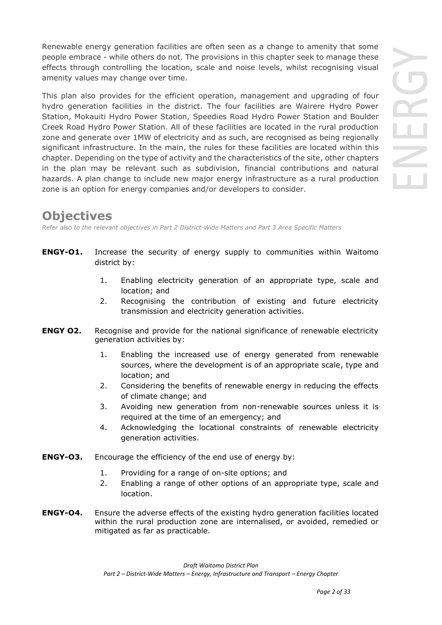Renewable energy generation facilities are often seen as a change to amenity that some people embrace - while others do not. The provisions in this chapter seek to manage these effects through controlling the location, scale and noise levels, whilst recognising visual amenity values may change over time.

This plan also provides for the efficient operation, management and upgrading of four hydro generation facilities in the district. The four facilities are Wairere Hydro Power Station, Mokauiti Hydro Power Station, Speedies Road Hydro Power Station and Boulder Creek Road Hydro Power Station. All of these facilities are located in the rural production zone and generate over 1MW of electricity and as such, are recognised as being regionally significant infrastructure. In the main, the rules for these facilities are located within this chapter. Depending on the type of activity and the characteristics of the site, other chapters in the plan may be relevant such as subdivision, financial contributions and natural hazards. A plan change to include new major energy infrastructure as a rural production zone is an option for energy companies and/or developers to consider.

# **Objectives**

*Refer also to the relevant objectives in Part 2 District-Wide Matters and Part 3 Area Specific Matters*

- **ENGY-O1.** Increase the security of energy supply to communities within Waitomo district by:
	- 1. Enabling electricity generation of an appropriate type, scale and location; and
	- 2. Recognising the contribution of existing and future electricity transmission and electricity generation activities.
- **ENGY 02.** Recognise and provide for the national significance of renewable electricity generation activities by:
	- 1. Enabling the increased use of energy generated from renewable sources, where the development is of an appropriate scale, type and location; and
	- 2. Considering the benefits of renewable energy in reducing the effects of climate change; and
	- 3. Avoiding new generation from non-renewable sources unless it is required at the time of an emergency; and
	- 4. Acknowledging the locational constraints of renewable electricity generation activities.
- **ENGY-O3.** Encourage the efficiency of the end use of energy by:
	- 1. Providing for a range of on-site options; and
	- 2. Enabling a range of other options of an appropriate type, scale and location.
- **ENGY-O4.** Ensure the adverse effects of the existing hydro generation facilities located within the rural production zone are internalised, or avoided, remedied or mitigated as far as practicable.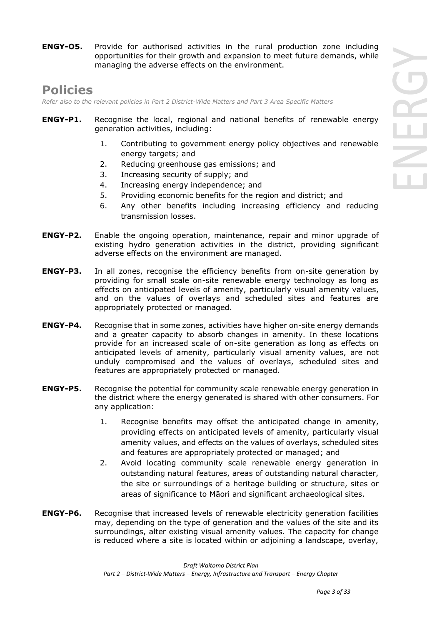**ENGY-O5.** Provide for authorised activities in the rural production zone including opportunities for their growth and expansion to meet future demands, while managing the adverse effects on the environment.

# **Policies**

*Refer also to the relevant policies in Part 2 District-Wide Matters and Part 3 Area Specific Matters*

- **ENGY-P1.** Recognise the local, regional and national benefits of renewable energy generation activities, including:
	- 1. Contributing to government energy policy objectives and renewable energy targets; and
	- 2. Reducing greenhouse gas emissions; and
	- 3. Increasing security of supply; and
	- 4. Increasing energy independence; and
	- 5. Providing economic benefits for the region and district; and
	- 6. Any other benefits including increasing efficiency and reducing transmission losses.
- **ENGY-P2.** Enable the ongoing operation, maintenance, repair and minor upgrade of existing hydro generation activities in the district, providing significant adverse effects on the environment are managed.
- **ENGY-P3.** In all zones, recognise the efficiency benefits from on-site generation by providing for small scale on-site renewable energy technology as long as effects on anticipated levels of amenity, particularly visual amenity values, and on the values of overlays and scheduled sites and features are appropriately protected or managed.
- **ENGY-P4.** Recognise that in some zones, activities have higher on-site energy demands and a greater capacity to absorb changes in amenity. In these locations provide for an increased scale of on-site generation as long as effects on anticipated levels of amenity, particularly visual amenity values, are not unduly compromised and the values of overlays, scheduled sites and features are appropriately protected or managed.
- **ENGY-P5.** Recognise the potential for community scale renewable energy generation in the district where the energy generated is shared with other consumers. For any application:
	- 1. Recognise benefits may offset the anticipated change in amenity, providing effects on anticipated levels of amenity, particularly visual amenity values, and effects on the values of overlays, scheduled sites and features are appropriately protected or managed; and
	- 2. Avoid locating community scale renewable energy generation in outstanding natural features, areas of outstanding natural character, the site or surroundings of a heritage building or structure, sites or areas of significance to Māori and significant archaeological sites.
- **ENGY-P6.** Recognise that increased levels of renewable electricity generation facilities may, depending on the type of generation and the values of the site and its surroundings, alter existing visual amenity values. The capacity for change is reduced where a site is located within or adjoining a landscape, overlay,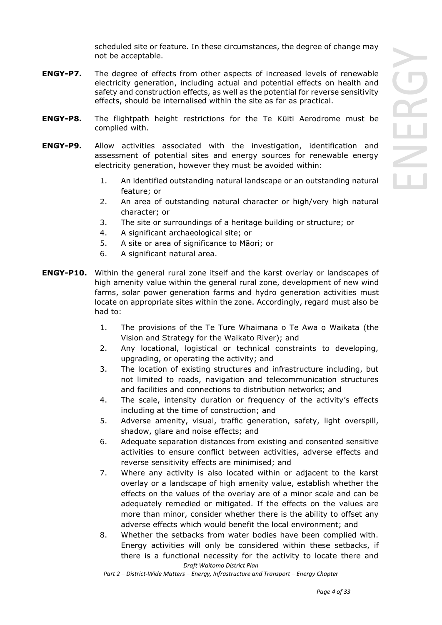scheduled site or feature. In these circumstances, the degree of change may not be acceptable.

- **ENGY-P7.** The degree of effects from other aspects of increased levels of renewable electricity generation, including actual and potential effects on health and safety and construction effects, as well as the potential for reverse sensitivity effects, should be internalised within the site as far as practical.
- **ENGY-P8.** The flightpath height restrictions for the Te Kūiti Aerodrome must be complied with.
- **ENGY-P9.** Allow activities associated with the investigation, identification and assessment of potential sites and energy sources for renewable energy electricity generation, however they must be avoided within:
	- 1. An identified outstanding natural landscape or an outstanding natural feature; or
	- 2. An area of outstanding natural character or high/very high natural character; or
	- 3. The site or surroundings of a heritage building or structure; or
	- 4. A significant archaeological site; or
	- 5. A site or area of significance to Māori; or
	- 6. A significant natural area.
- **ENGY-P10.** Within the general rural zone itself and the karst overlay or landscapes of high amenity value within the general rural zone, development of new wind farms, solar power generation farms and hydro generation activities must locate on appropriate sites within the zone. Accordingly, regard must also be had to:
	- 1. The provisions of the Te Ture Whaimana o Te Awa o Waikata (the Vision and Strategy for the Waikato River); and
	- 2. Any locational, logistical or technical constraints to developing, upgrading, or operating the activity; and
	- 3. The location of existing structures and infrastructure including, but not limited to roads, navigation and telecommunication structures and facilities and connections to distribution networks; and
	- 4. The scale, intensity duration or frequency of the activity's effects including at the time of construction; and
	- 5. Adverse amenity, visual, traffic generation, safety, light overspill, shadow, glare and noise effects; and
	- 6. Adequate separation distances from existing and consented sensitive activities to ensure conflict between activities, adverse effects and reverse sensitivity effects are minimised; and
	- 7. Where any activity is also located within or adjacent to the karst overlay or a landscape of high amenity value, establish whether the effects on the values of the overlay are of a minor scale and can be adequately remedied or mitigated. If the effects on the values are more than minor, consider whether there is the ability to offset any adverse effects which would benefit the local environment; and
	- *Draft Waitomo District Plan* 8. Whether the setbacks from water bodies have been complied with. Energy activities will only be considered within these setbacks, if there is a functional necessity for the activity to locate there and

*Part 2 – District-Wide Matters – Energy, Infrastructure and Transport – Energy Chapter*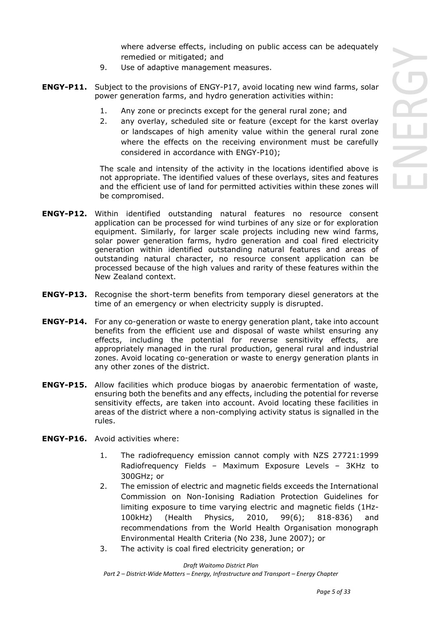where adverse effects, including on public access can be adequately remedied or mitigated; and

- 9. Use of adaptive management measures.
- **ENGY-P11.** Subject to the provisions of ENGY-P17, avoid locating new wind farms, solar power generation farms, and hydro generation activities within:
	- 1. Any zone or precincts except for the general rural zone; and
	- 2. any overlay, scheduled site or feature (except for the karst overlay or landscapes of high amenity value within the general rural zone where the effects on the receiving environment must be carefully considered in accordance with ENGY-P10);

 The scale and intensity of the activity in the locations identified above is not appropriate. The identified values of these overlays, sites and features and the efficient use of land for permitted activities within these zones will be compromised.

- **ENGY-P12.** Within identified outstanding natural features no resource consent application can be processed for wind turbines of any size or for exploration equipment. Similarly, for larger scale projects including new wind farms, solar power generation farms, hydro generation and coal fired electricity generation within identified outstanding natural features and areas of outstanding natural character, no resource consent application can be processed because of the high values and rarity of these features within the New Zealand context.
- **ENGY-P13.** Recognise the short-term benefits from temporary diesel generators at the time of an emergency or when electricity supply is disrupted.
- **ENGY-P14.** For any co-generation or waste to energy generation plant, take into account benefits from the efficient use and disposal of waste whilst ensuring any effects, including the potential for reverse sensitivity effects, are appropriately managed in the rural production, general rural and industrial zones. Avoid locating co-generation or waste to energy generation plants in any other zones of the district.
- **ENGY-P15.** Allow facilities which produce biogas by anaerobic fermentation of waste, ensuring both the benefits and any effects, including the potential for reverse sensitivity effects, are taken into account. Avoid locating these facilities in areas of the district where a non-complying activity status is signalled in the rules.
- **ENGY-P16.** Avoid activities where:
	- 1. The radiofrequency emission cannot comply with NZS 27721:1999 Radiofrequency Fields – Maximum Exposure Levels – 3KHz to 300GHz; or
	- 2. The emission of electric and magnetic fields exceeds the International Commission on Non-Ionising Radiation Protection Guidelines for limiting exposure to time varying electric and magnetic fields (1Hz-100kHz) (Health Physics, 2010, 99(6); 818-836) and recommendations from the World Health Organisation monograph Environmental Health Criteria (No 238, June 2007); or
	- 3. The activity is coal fired electricity generation; or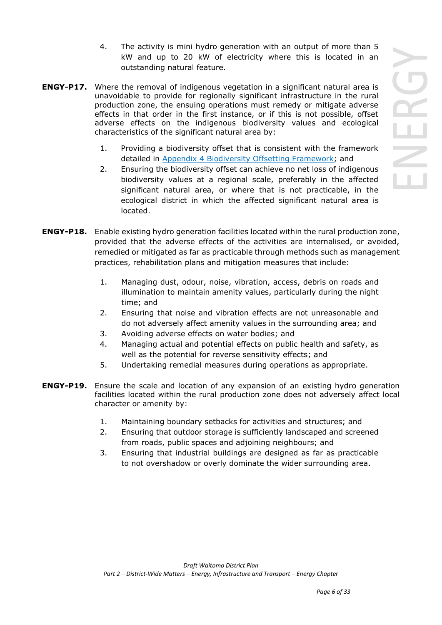- 4. The activity is mini hydro generation with an output of more than 5 kW and up to 20 kW of electricity where this is located in an outstanding natural feature.
- **ENGY-P17.** Where the removal of indigenous vegetation in a significant natural area is unavoidable to provide for regionally significant infrastructure in the rural production zone, the ensuing operations must remedy or mitigate adverse effects in that order in the first instance, or if this is not possible, offset adverse effects on the indigenous biodiversity values and ecological characteristics of the significant natural area by:
	- 1. Providing a biodiversity offset that is consistent with the framework detailed in Appendix 4 Biodiversity Offsetting Framework; and
	- 2. Ensuring the biodiversity offset can achieve no net loss of indigenous biodiversity values at a regional scale, preferably in the affected significant natural area, or where that is not practicable, in the ecological district in which the affected significant natural area is located.
- **ENGY-P18.** Enable existing hydro generation facilities located within the rural production zone, provided that the adverse effects of the activities are internalised, or avoided, remedied or mitigated as far as practicable through methods such as management practices, rehabilitation plans and mitigation measures that include:
	- 1. Managing dust, odour, noise, vibration, access, debris on roads and illumination to maintain amenity values, particularly during the night time; and
	- 2. Ensuring that noise and vibration effects are not unreasonable and do not adversely affect amenity values in the surrounding area; and
	- 3. Avoiding adverse effects on water bodies; and
	- 4. Managing actual and potential effects on public health and safety, as well as the potential for reverse sensitivity effects; and
	- 5. Undertaking remedial measures during operations as appropriate.
- **ENGY-P19.** Ensure the scale and location of any expansion of an existing hydro generation facilities located within the rural production zone does not adversely affect local character or amenity by:
	- 1. Maintaining boundary setbacks for activities and structures; and
	- 2. Ensuring that outdoor storage is sufficiently landscaped and screened from roads, public spaces and adjoining neighbours; and
	- 3. Ensuring that industrial buildings are designed as far as practicable to not overshadow or overly dominate the wider surrounding area.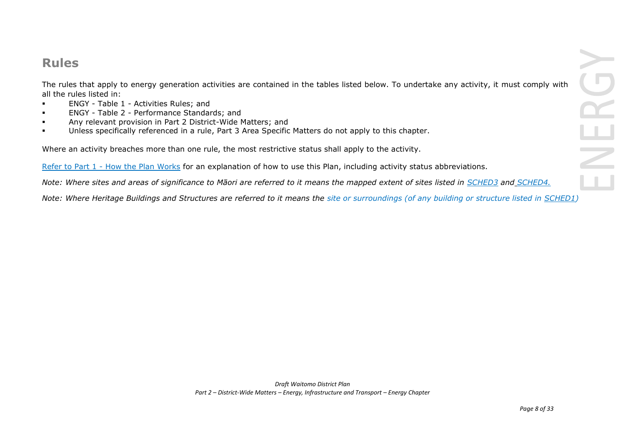# **Rules**

The rules that apply to energy generation activities are contained in the tables listed below. To undertake any activity, it must comply with all the rules listed in:

- ENGY Table 1 Activities Rules; and
- ENGY Table 2 Performance Standards; and
- Any relevant provision in Part 2 District-Wide Matters; and
- Unless specifically referenced in a rule, Part 3 Area Specific Matters do not apply to this chapter.

Where an activity breaches more than one rule, the most restrictive status shall apply to the activity.

Refer to [Part 1](javascript:void(0)) - How the Plan Works for an explanation of how to use this Plan, including activity status abbreviations.

*Note: Where sites and areas of significance to Māori are referred to it means the mapped extent of sites listed in SCHED3 and SCHED4.*

*Note: Where Heritage Buildings and Structures are referred to it means the site or surroundings (of any building or structure listed in SCHED1)*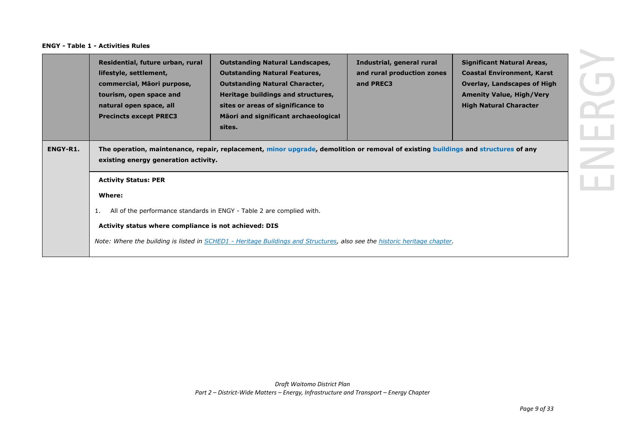|                 | Residential, future urban, rural<br>lifestyle, settlement,<br>commercial, Māori purpose,<br>tourism, open space and<br>natural open space, all<br><b>Precincts except PREC3</b> | <b>Outstanding Natural Landscapes,</b><br><b>Outstanding Natural Features,</b><br><b>Outstanding Natural Character,</b><br>Heritage buildings and structures,<br>sites or areas of significance to<br>Māori and significant archaeological<br>sites. | Industrial, general rural<br>and rural production zones<br>and PREC3 | <b>Significant Natural Areas,</b><br><b>Coastal Environment, Karst</b><br><b>Overlay, Landscapes of High</b><br><b>Amenity Value, High/Very</b><br><b>High Natural Character</b> |
|-----------------|---------------------------------------------------------------------------------------------------------------------------------------------------------------------------------|------------------------------------------------------------------------------------------------------------------------------------------------------------------------------------------------------------------------------------------------------|----------------------------------------------------------------------|----------------------------------------------------------------------------------------------------------------------------------------------------------------------------------|
| <b>ENGY-R1.</b> | existing energy generation activity.                                                                                                                                            | The operation, maintenance, repair, replacement, minor upgrade, demolition or removal of existing buildings and structures of any                                                                                                                    |                                                                      |                                                                                                                                                                                  |
|                 | <b>Activity Status: PER</b>                                                                                                                                                     |                                                                                                                                                                                                                                                      |                                                                      |                                                                                                                                                                                  |
|                 | Where:                                                                                                                                                                          |                                                                                                                                                                                                                                                      |                                                                      |                                                                                                                                                                                  |
|                 | 1.                                                                                                                                                                              | All of the performance standards in ENGY - Table 2 are complied with.                                                                                                                                                                                |                                                                      |                                                                                                                                                                                  |
|                 | Activity status where compliance is not achieved: DIS                                                                                                                           |                                                                                                                                                                                                                                                      |                                                                      |                                                                                                                                                                                  |
|                 |                                                                                                                                                                                 | Note: Where the building is listed in SCHED1 - Heritage Buildings and Structures, also see the historic heritage chapter.                                                                                                                            |                                                                      |                                                                                                                                                                                  |
|                 |                                                                                                                                                                                 |                                                                                                                                                                                                                                                      |                                                                      |                                                                                                                                                                                  |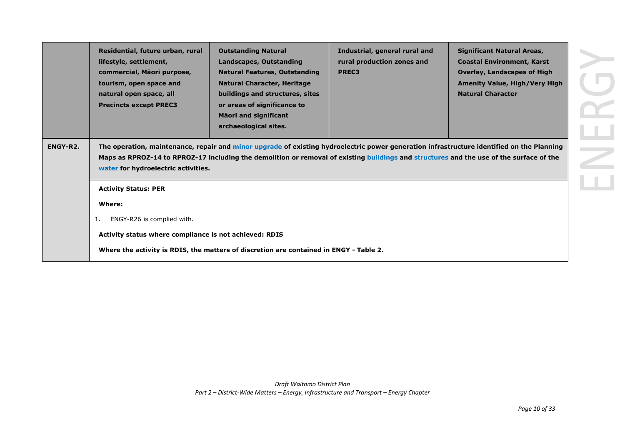|          | Residential, future urban, rural<br>lifestyle, settlement,<br>commercial, Māori purpose,<br>tourism, open space and<br>natural open space, all<br><b>Precincts except PREC3</b> | <b>Outstanding Natural</b><br>Landscapes, Outstanding<br><b>Natural Features, Outstanding</b><br><b>Natural Character, Heritage</b><br>buildings and structures, sites<br>or areas of significance to<br><b>Māori and significant</b><br>archaeological sites. | Industrial, general rural and<br>rural production zones and<br><b>PREC3</b>                                                                                                                                                                                                          | <b>Significant Natural Areas,</b><br><b>Coastal Environment, Karst</b><br><b>Overlay, Landscapes of High</b><br><b>Amenity Value, High/Very High</b><br><b>Natural Character</b> |
|----------|---------------------------------------------------------------------------------------------------------------------------------------------------------------------------------|----------------------------------------------------------------------------------------------------------------------------------------------------------------------------------------------------------------------------------------------------------------|--------------------------------------------------------------------------------------------------------------------------------------------------------------------------------------------------------------------------------------------------------------------------------------|----------------------------------------------------------------------------------------------------------------------------------------------------------------------------------|
| ENGY-R2. | water for hydroelectric activities.                                                                                                                                             |                                                                                                                                                                                                                                                                | The operation, maintenance, repair and minor upgrade of existing hydroelectric power generation infrastructure identified on the Planning<br>Maps as RPROZ-14 to RPROZ-17 including the demolition or removal of existing buildings and structures and the use of the surface of the |                                                                                                                                                                                  |
|          | <b>Activity Status: PER</b>                                                                                                                                                     |                                                                                                                                                                                                                                                                |                                                                                                                                                                                                                                                                                      |                                                                                                                                                                                  |
|          | Where:                                                                                                                                                                          |                                                                                                                                                                                                                                                                |                                                                                                                                                                                                                                                                                      |                                                                                                                                                                                  |
|          | ENGY-R26 is complied with.<br>1.                                                                                                                                                |                                                                                                                                                                                                                                                                |                                                                                                                                                                                                                                                                                      |                                                                                                                                                                                  |
|          | Activity status where compliance is not achieved: RDIS                                                                                                                          |                                                                                                                                                                                                                                                                |                                                                                                                                                                                                                                                                                      |                                                                                                                                                                                  |
|          |                                                                                                                                                                                 | Where the activity is RDIS, the matters of discretion are contained in ENGY - Table 2.                                                                                                                                                                         |                                                                                                                                                                                                                                                                                      |                                                                                                                                                                                  |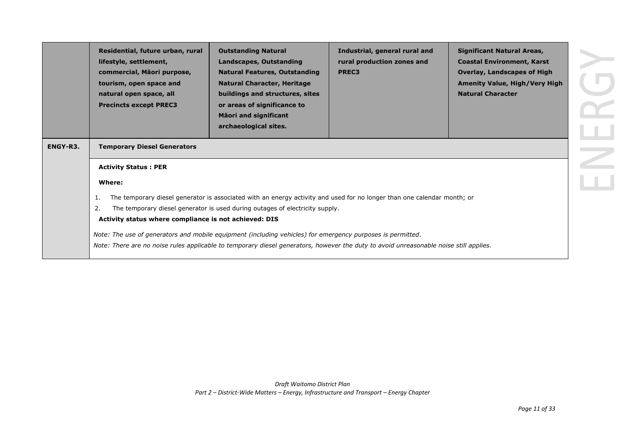|          | Residential, future urban, rural<br>lifestyle, settlement,<br>commercial, Māori purpose,<br>tourism, open space and<br>natural open space, all<br><b>Precincts except PREC3</b>                                                                                               | <b>Outstanding Natural</b><br>Landscapes, Outstanding<br><b>Natural Features, Outstanding</b><br><b>Natural Character, Heritage</b><br>buildings and structures, sites<br>or areas of significance to<br><b>Mäori and significant</b><br>archaeological sites. | Industrial, general rural and<br>rural production zones and<br>PREC3 | <b>Significant Natural Areas,</b><br><b>Coastal Environment, Karst</b><br><b>Overlay, Landscapes of High</b><br><b>Amenity Value, High/Very High</b><br><b>Natural Character</b> |  |  |
|----------|-------------------------------------------------------------------------------------------------------------------------------------------------------------------------------------------------------------------------------------------------------------------------------|----------------------------------------------------------------------------------------------------------------------------------------------------------------------------------------------------------------------------------------------------------------|----------------------------------------------------------------------|----------------------------------------------------------------------------------------------------------------------------------------------------------------------------------|--|--|
| ENGY-R3. | <b>Temporary Diesel Generators</b>                                                                                                                                                                                                                                            |                                                                                                                                                                                                                                                                |                                                                      |                                                                                                                                                                                  |  |  |
|          | <b>Activity Status: PER</b>                                                                                                                                                                                                                                                   |                                                                                                                                                                                                                                                                |                                                                      |                                                                                                                                                                                  |  |  |
|          | Where:                                                                                                                                                                                                                                                                        |                                                                                                                                                                                                                                                                |                                                                      |                                                                                                                                                                                  |  |  |
|          | The temporary diesel generator is associated with an energy activity and used for no longer than one calendar month; or<br>-1.<br>The temporary diesel generator is used during outages of electricity supply.<br>2.<br>Activity status where compliance is not achieved: DIS |                                                                                                                                                                                                                                                                |                                                                      |                                                                                                                                                                                  |  |  |
|          |                                                                                                                                                                                                                                                                               | Note: The use of generators and mobile equipment (including vehicles) for emergency purposes is permitted.<br>Note: There are no noise rules applicable to temporary diesel generators, however the duty to avoid unreasonable noise still applies.            |                                                                      |                                                                                                                                                                                  |  |  |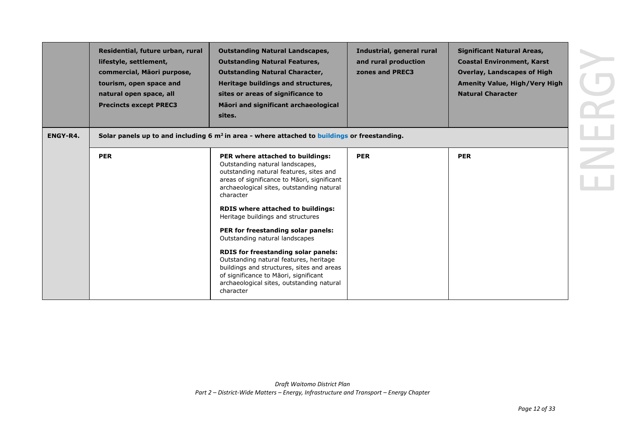|          | Residential, future urban, rural<br>lifestyle, settlement,<br>commercial, Māori purpose,<br>tourism, open space and<br>natural open space, all<br><b>Precincts except PREC3</b> | <b>Outstanding Natural Landscapes,</b><br><b>Outstanding Natural Features,</b><br><b>Outstanding Natural Character,</b><br>Heritage buildings and structures,<br>sites or areas of significance to<br>Māori and significant archaeological<br>sites. | Industrial, general rural<br>and rural production<br>zones and PREC3 | <b>Significant Natural Areas,</b><br><b>Coastal Environment, Karst</b><br><b>Overlay, Landscapes of High</b><br><b>Amenity Value, High/Very High</b><br><b>Natural Character</b> |
|----------|---------------------------------------------------------------------------------------------------------------------------------------------------------------------------------|------------------------------------------------------------------------------------------------------------------------------------------------------------------------------------------------------------------------------------------------------|----------------------------------------------------------------------|----------------------------------------------------------------------------------------------------------------------------------------------------------------------------------|
| ENGY-R4. |                                                                                                                                                                                 | Solar panels up to and including $6 \text{ m}^2$ in area - where attached to buildings or freestanding.                                                                                                                                              |                                                                      |                                                                                                                                                                                  |
|          | <b>PER</b>                                                                                                                                                                      | PER where attached to buildings:<br>Outstanding natural landscapes,<br>outstanding natural features, sites and<br>areas of significance to Māori, significant<br>archaeological sites, outstanding natural<br>character                              | <b>PER</b>                                                           | <b>PER</b>                                                                                                                                                                       |
|          |                                                                                                                                                                                 | <b>RDIS where attached to buildings:</b><br>Heritage buildings and structures                                                                                                                                                                        |                                                                      |                                                                                                                                                                                  |
|          |                                                                                                                                                                                 | PER for freestanding solar panels:<br>Outstanding natural landscapes                                                                                                                                                                                 |                                                                      |                                                                                                                                                                                  |
|          |                                                                                                                                                                                 | RDIS for freestanding solar panels:<br>Outstanding natural features, heritage<br>buildings and structures, sites and areas<br>of significance to Māori, significant<br>archaeological sites, outstanding natural<br>character                        |                                                                      |                                                                                                                                                                                  |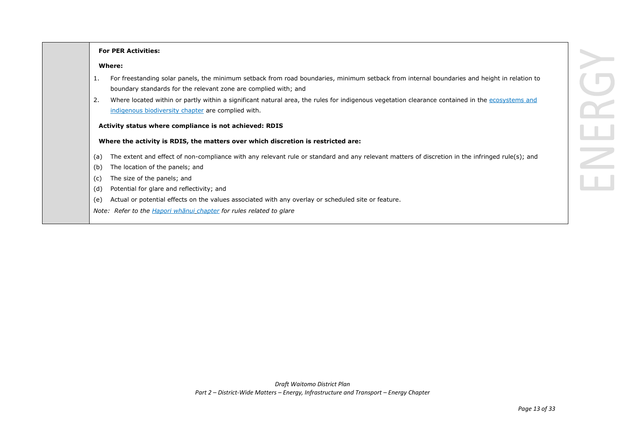#### **For PER Activities:**

#### **Where:**

- 1. For freestanding solar panels, the minimum setback from road boundaries, minimum setback from internal boundaries and height in relation to boundary standards for the relevant zone are complied with; and
- 2. Where located within or partly within a significant natural area, the rules for indigenous vegetation clearance contained in the ecosystems and indigenous biodiversity chapter are complied with.

#### **Activity status where compliance is not achieved: RDIS**

#### **Where the activity is RDIS, the matters over which discretion is restricted are:**

- (a) The extent and effect of non-compliance with any relevant rule or standard and any relevant matters of discretion in the infringed rule(s); and
- (b) The location of the panels; and
- (c) The size of the panels; and
- (d) Potential for glare and reflectivity; and
- (e) Actual or potential effects on the values associated with any overlay or scheduled site or feature.
- *Note: Refer to the Hapori whānui chapter for rules related to glare*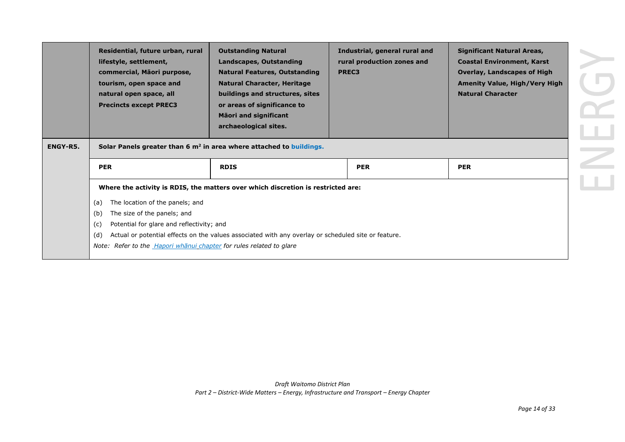| ENGY-R5. | Residential, future urban, rural<br>lifestyle, settlement,<br>commercial, Māori purpose,<br>tourism, open space and<br>natural open space, all<br><b>Precincts except PREC3</b> | <b>Outstanding Natural</b><br>Landscapes, Outstanding<br><b>Natural Features, Outstanding</b><br><b>Natural Character, Heritage</b><br>buildings and structures, sites<br>or areas of significance to<br><b>Maori and significant</b><br>archaeological sites.<br>Solar Panels greater than 6 $m2$ in area where attached to buildings. | Industrial, general rural and<br>rural production zones and<br>PREC3 | <b>Significant Natural Areas,</b><br><b>Coastal Environment, Karst</b><br><b>Overlay, Landscapes of High</b><br><b>Amenity Value, High/Very High</b><br><b>Natural Character</b> |
|----------|---------------------------------------------------------------------------------------------------------------------------------------------------------------------------------|-----------------------------------------------------------------------------------------------------------------------------------------------------------------------------------------------------------------------------------------------------------------------------------------------------------------------------------------|----------------------------------------------------------------------|----------------------------------------------------------------------------------------------------------------------------------------------------------------------------------|
|          | <b>PER</b>                                                                                                                                                                      | <b>RDIS</b>                                                                                                                                                                                                                                                                                                                             | <b>PER</b>                                                           | <b>PER</b>                                                                                                                                                                       |
|          |                                                                                                                                                                                 | Where the activity is RDIS, the matters over which discretion is restricted are:                                                                                                                                                                                                                                                        |                                                                      |                                                                                                                                                                                  |
|          | The location of the panels; and<br>(a)                                                                                                                                          |                                                                                                                                                                                                                                                                                                                                         |                                                                      |                                                                                                                                                                                  |
|          | The size of the panels; and<br>(b)                                                                                                                                              |                                                                                                                                                                                                                                                                                                                                         |                                                                      |                                                                                                                                                                                  |
|          | Potential for glare and reflectivity; and<br>(c)                                                                                                                                |                                                                                                                                                                                                                                                                                                                                         |                                                                      |                                                                                                                                                                                  |
|          | (d)                                                                                                                                                                             | Actual or potential effects on the values associated with any overlay or scheduled site or feature.                                                                                                                                                                                                                                     |                                                                      |                                                                                                                                                                                  |
|          | Note: Refer to the <i>Hapori whanul chapter</i> for rules related to glare                                                                                                      |                                                                                                                                                                                                                                                                                                                                         |                                                                      |                                                                                                                                                                                  |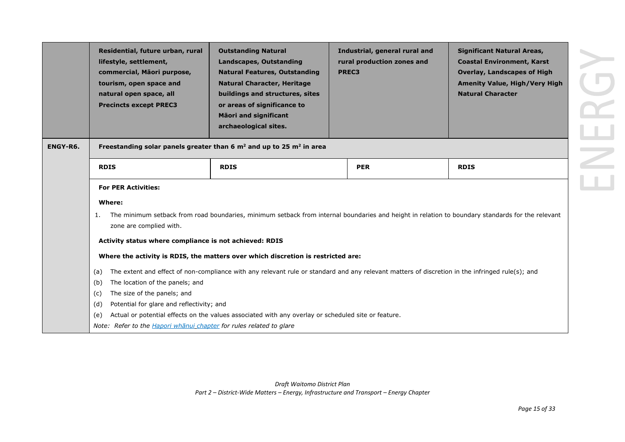| ENGY-R6. | Residential, future urban, rural<br>lifestyle, settlement,<br>commercial, Māori purpose,<br>tourism, open space and<br>natural open space, all<br><b>Precincts except PREC3</b> | <b>Outstanding Natural</b><br><b>Landscapes, Outstanding</b><br><b>Natural Features, Outstanding</b><br><b>Natural Character, Heritage</b><br>buildings and structures, sites<br>or areas of significance to<br><b>Māori and significant</b><br>archaeological sites.<br>Freestanding solar panels greater than 6 $m2$ and up to 25 $m2$ in area | PREC3 | Industrial, general rural and<br>rural production zones and | <b>Significant Natural Areas,</b><br><b>Coastal Environment, Karst</b><br><b>Overlay, Landscapes of High</b><br><b>Amenity Value, High/Very High</b><br><b>Natural Character</b> |
|----------|---------------------------------------------------------------------------------------------------------------------------------------------------------------------------------|--------------------------------------------------------------------------------------------------------------------------------------------------------------------------------------------------------------------------------------------------------------------------------------------------------------------------------------------------|-------|-------------------------------------------------------------|----------------------------------------------------------------------------------------------------------------------------------------------------------------------------------|
|          |                                                                                                                                                                                 |                                                                                                                                                                                                                                                                                                                                                  |       |                                                             |                                                                                                                                                                                  |
|          | <b>RDIS</b>                                                                                                                                                                     | <b>RDIS</b>                                                                                                                                                                                                                                                                                                                                      |       | <b>PER</b>                                                  | <b>RDIS</b>                                                                                                                                                                      |
|          | <b>For PER Activities:</b>                                                                                                                                                      |                                                                                                                                                                                                                                                                                                                                                  |       |                                                             |                                                                                                                                                                                  |
|          | Where:<br>1.<br>zone are complied with.                                                                                                                                         | The minimum setback from road boundaries, minimum setback from internal boundaries and height in relation to boundary standards for the relevant                                                                                                                                                                                                 |       |                                                             |                                                                                                                                                                                  |
|          | Activity status where compliance is not achieved: RDIS                                                                                                                          |                                                                                                                                                                                                                                                                                                                                                  |       |                                                             |                                                                                                                                                                                  |
|          |                                                                                                                                                                                 | Where the activity is RDIS, the matters over which discretion is restricted are:                                                                                                                                                                                                                                                                 |       |                                                             |                                                                                                                                                                                  |
|          | (a)                                                                                                                                                                             | The extent and effect of non-compliance with any relevant rule or standard and any relevant matters of discretion in the infringed rule(s); and                                                                                                                                                                                                  |       |                                                             |                                                                                                                                                                                  |
|          | The location of the panels; and<br>(b)                                                                                                                                          |                                                                                                                                                                                                                                                                                                                                                  |       |                                                             |                                                                                                                                                                                  |
|          | The size of the panels; and<br>(c)                                                                                                                                              |                                                                                                                                                                                                                                                                                                                                                  |       |                                                             |                                                                                                                                                                                  |
|          | Potential for glare and reflectivity; and<br>(d)                                                                                                                                |                                                                                                                                                                                                                                                                                                                                                  |       |                                                             |                                                                                                                                                                                  |
|          | (e)                                                                                                                                                                             | Actual or potential effects on the values associated with any overlay or scheduled site or feature.                                                                                                                                                                                                                                              |       |                                                             |                                                                                                                                                                                  |
|          | Note: Refer to the <i>Hapori whanul chapter</i> for rules related to glare                                                                                                      |                                                                                                                                                                                                                                                                                                                                                  |       |                                                             |                                                                                                                                                                                  |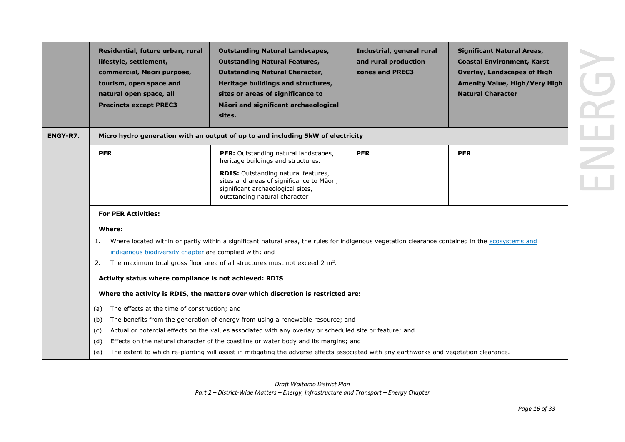|                 | Residential, future urban, rural<br>lifestyle, settlement,<br>commercial, Māori purpose,<br>tourism, open space and<br>natural open space, all<br><b>Precincts except PREC3</b> | <b>Outstanding Natural Landscapes,</b><br><b>Outstanding Natural Features,</b><br><b>Outstanding Natural Character,</b><br>Heritage buildings and structures,<br>sites or areas of significance to<br>Māori and significant archaeological<br>sites. | Industrial, general rural<br>and rural production<br>zones and PREC3 | <b>Significant Natural Areas,</b><br><b>Coastal Environment, Karst</b><br><b>Overlay, Landscapes of High</b><br><b>Amenity Value, High/Very High</b><br><b>Natural Character</b> |
|-----------------|---------------------------------------------------------------------------------------------------------------------------------------------------------------------------------|------------------------------------------------------------------------------------------------------------------------------------------------------------------------------------------------------------------------------------------------------|----------------------------------------------------------------------|----------------------------------------------------------------------------------------------------------------------------------------------------------------------------------|
| <b>ENGY-R7.</b> |                                                                                                                                                                                 | Micro hydro generation with an output of up to and including 5kW of electricity                                                                                                                                                                      |                                                                      |                                                                                                                                                                                  |
|                 | <b>PER</b>                                                                                                                                                                      | PER: Outstanding natural landscapes,<br>heritage buildings and structures.                                                                                                                                                                           | <b>PER</b>                                                           | <b>PER</b>                                                                                                                                                                       |
|                 |                                                                                                                                                                                 | RDIS: Outstanding natural features,<br>sites and areas of significance to Māori,<br>significant archaeological sites,<br>outstanding natural character                                                                                               |                                                                      |                                                                                                                                                                                  |
|                 | <b>For PER Activities:</b>                                                                                                                                                      |                                                                                                                                                                                                                                                      |                                                                      |                                                                                                                                                                                  |
|                 | Where:                                                                                                                                                                          |                                                                                                                                                                                                                                                      |                                                                      |                                                                                                                                                                                  |
|                 | 1.                                                                                                                                                                              | Where located within or partly within a significant natural area, the rules for indigenous vegetation clearance contained in the ecosystems and                                                                                                      |                                                                      |                                                                                                                                                                                  |
|                 | indigenous biodiversity chapter are complied with; and<br>2.                                                                                                                    | The maximum total gross floor area of all structures must not exceed 2 $m^2$ .                                                                                                                                                                       |                                                                      |                                                                                                                                                                                  |
|                 |                                                                                                                                                                                 |                                                                                                                                                                                                                                                      |                                                                      |                                                                                                                                                                                  |
|                 | Activity status where compliance is not achieved: RDIS                                                                                                                          |                                                                                                                                                                                                                                                      |                                                                      |                                                                                                                                                                                  |
|                 |                                                                                                                                                                                 | Where the activity is RDIS, the matters over which discretion is restricted are:                                                                                                                                                                     |                                                                      |                                                                                                                                                                                  |
|                 | The effects at the time of construction; and<br>(a)                                                                                                                             |                                                                                                                                                                                                                                                      |                                                                      |                                                                                                                                                                                  |
|                 | (b)                                                                                                                                                                             | The benefits from the generation of energy from using a renewable resource; and                                                                                                                                                                      |                                                                      |                                                                                                                                                                                  |
|                 | (c)                                                                                                                                                                             | Actual or potential effects on the values associated with any overlay or scheduled site or feature; and                                                                                                                                              |                                                                      |                                                                                                                                                                                  |
|                 | (d)                                                                                                                                                                             | Effects on the natural character of the coastline or water body and its margins; and                                                                                                                                                                 |                                                                      |                                                                                                                                                                                  |
|                 | (e)                                                                                                                                                                             | The extent to which re-planting will assist in mitigating the adverse effects associated with any earthworks and vegetation clearance.                                                                                                               |                                                                      |                                                                                                                                                                                  |

*Draft Waitomo District Plan Part 2 – District-Wide Matters – Energy, Infrastructure and Transport – Energy Chapter*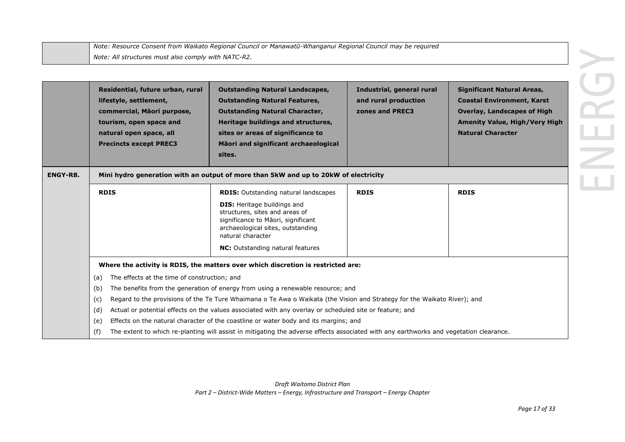| Note: Resource Consent from Waikato Regional Council or Manawatū-Whanganui Regional Council may be required |
|-------------------------------------------------------------------------------------------------------------|
| Note: All structures must also comply with NATC-R2.                                                         |

|                 | Residential, future urban, rural<br>lifestyle, settlement,<br>commercial, Māori purpose,<br>tourism, open space and<br>natural open space, all<br><b>Precincts except PREC3</b> | <b>Outstanding Natural Landscapes,</b><br><b>Outstanding Natural Features,</b><br><b>Outstanding Natural Character,</b><br>Heritage buildings and structures,<br>sites or areas of significance to<br>Māori and significant archaeological<br>sites.                                                                                                                                                                                                                                                                                                                                                                                         | Industrial, general rural<br>and rural production<br>zones and PREC3 | <b>Significant Natural Areas,</b><br><b>Coastal Environment, Karst</b><br><b>Overlay, Landscapes of High</b><br><b>Amenity Value, High/Very High</b><br><b>Natural Character</b> |
|-----------------|---------------------------------------------------------------------------------------------------------------------------------------------------------------------------------|----------------------------------------------------------------------------------------------------------------------------------------------------------------------------------------------------------------------------------------------------------------------------------------------------------------------------------------------------------------------------------------------------------------------------------------------------------------------------------------------------------------------------------------------------------------------------------------------------------------------------------------------|----------------------------------------------------------------------|----------------------------------------------------------------------------------------------------------------------------------------------------------------------------------|
| <b>ENGY-R8.</b> |                                                                                                                                                                                 | Mini hydro generation with an output of more than 5kW and up to 20kW of electricity                                                                                                                                                                                                                                                                                                                                                                                                                                                                                                                                                          |                                                                      |                                                                                                                                                                                  |
|                 | <b>RDIS</b>                                                                                                                                                                     | <b>RDIS:</b> Outstanding natural landscapes<br><b>DIS:</b> Heritage buildings and<br>structures, sites and areas of<br>significance to Māori, significant<br>archaeological sites, outstanding<br>natural character<br><b>NC:</b> Outstanding natural features                                                                                                                                                                                                                                                                                                                                                                               | <b>RDIS</b>                                                          | <b>RDIS</b>                                                                                                                                                                      |
|                 | The effects at the time of construction; and<br>(a)<br>(b)<br>(c)<br>(d)<br>(e)<br>(f)                                                                                          | Where the activity is RDIS, the matters over which discretion is restricted are:<br>The benefits from the generation of energy from using a renewable resource; and<br>Regard to the provisions of the Te Ture Whaimana o Te Awa o Waikata (the Vision and Strategy for the Waikato River); and<br>Actual or potential effects on the values associated with any overlay or scheduled site or feature; and<br>Effects on the natural character of the coastline or water body and its margins; and<br>The extent to which re-planting will assist in mitigating the adverse effects associated with any earthworks and vegetation clearance. |                                                                      |                                                                                                                                                                                  |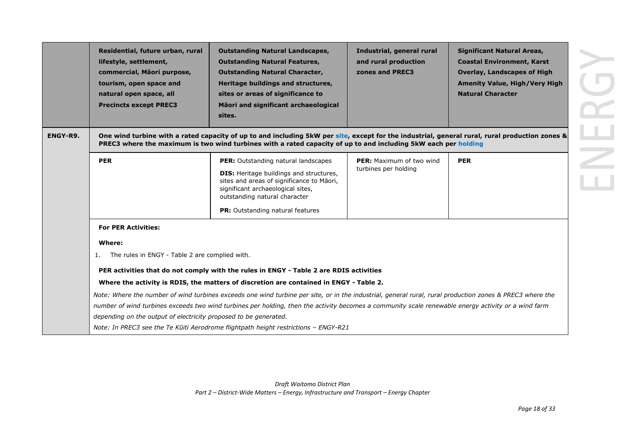| Residential, future urban, rural<br>lifestyle, settlement,<br>commercial, Māori purpose,<br>tourism, open space and<br>natural open space, all<br><b>Precincts except PREC3</b> | <b>Outstanding Natural Landscapes,</b><br><b>Outstanding Natural Features,</b><br><b>Outstanding Natural Character,</b><br>Heritage buildings and structures,<br>sites or areas of significance to<br>Māori and significant archaeological<br>sites. | Industrial, general rural<br>and rural production<br>zones and PREC3                                               | <b>Significant Natural Areas,</b><br><b>Coastal Environment, Karst</b><br><b>Overlay, Landscapes of High</b><br><b>Amenity Value, High/Very High</b><br><b>Natural Character</b>                                                                                                                                                                                                                                                                                                                                                                                                                                                                                                                                                                                                                                                                               |
|---------------------------------------------------------------------------------------------------------------------------------------------------------------------------------|------------------------------------------------------------------------------------------------------------------------------------------------------------------------------------------------------------------------------------------------------|--------------------------------------------------------------------------------------------------------------------|----------------------------------------------------------------------------------------------------------------------------------------------------------------------------------------------------------------------------------------------------------------------------------------------------------------------------------------------------------------------------------------------------------------------------------------------------------------------------------------------------------------------------------------------------------------------------------------------------------------------------------------------------------------------------------------------------------------------------------------------------------------------------------------------------------------------------------------------------------------|
|                                                                                                                                                                                 |                                                                                                                                                                                                                                                      |                                                                                                                    |                                                                                                                                                                                                                                                                                                                                                                                                                                                                                                                                                                                                                                                                                                                                                                                                                                                                |
| <b>PER</b>                                                                                                                                                                      | <b>PER:</b> Outstanding natural landscapes<br><b>DIS:</b> Heritage buildings and structures,<br>sites and areas of significance to Māori,<br>significant archaeological sites,<br>outstanding natural character<br>PR: Outstanding natural features  | <b>PER:</b> Maximum of two wind<br>turbines per holding                                                            | <b>PER</b>                                                                                                                                                                                                                                                                                                                                                                                                                                                                                                                                                                                                                                                                                                                                                                                                                                                     |
| <b>For PER Activities:</b><br>Where:<br>1.                                                                                                                                      |                                                                                                                                                                                                                                                      |                                                                                                                    |                                                                                                                                                                                                                                                                                                                                                                                                                                                                                                                                                                                                                                                                                                                                                                                                                                                                |
|                                                                                                                                                                                 |                                                                                                                                                                                                                                                      |                                                                                                                    |                                                                                                                                                                                                                                                                                                                                                                                                                                                                                                                                                                                                                                                                                                                                                                                                                                                                |
|                                                                                                                                                                                 |                                                                                                                                                                                                                                                      |                                                                                                                    |                                                                                                                                                                                                                                                                                                                                                                                                                                                                                                                                                                                                                                                                                                                                                                                                                                                                |
|                                                                                                                                                                                 |                                                                                                                                                                                                                                                      |                                                                                                                    |                                                                                                                                                                                                                                                                                                                                                                                                                                                                                                                                                                                                                                                                                                                                                                                                                                                                |
|                                                                                                                                                                                 |                                                                                                                                                                                                                                                      |                                                                                                                    |                                                                                                                                                                                                                                                                                                                                                                                                                                                                                                                                                                                                                                                                                                                                                                                                                                                                |
|                                                                                                                                                                                 |                                                                                                                                                                                                                                                      |                                                                                                                    |                                                                                                                                                                                                                                                                                                                                                                                                                                                                                                                                                                                                                                                                                                                                                                                                                                                                |
|                                                                                                                                                                                 |                                                                                                                                                                                                                                                      | The rules in ENGY - Table 2 are complied with.<br>depending on the output of electricity proposed to be generated. | One wind turbine with a rated capacity of up to and including 5kW per site, except for the industrial, general rural, rural production zones &<br>PREC3 where the maximum is two wind turbines with a rated capacity of up to and including 5kW each per holding<br>PER activities that do not comply with the rules in ENGY - Table 2 are RDIS activities<br>Where the activity is RDIS, the matters of discretion are contained in ENGY - Table 2.<br>Note: Where the number of wind turbines exceeds one wind turbine per site, or in the industrial, general rural, rural production zones & PREC3 where the<br>number of wind turbines exceeds two wind turbines per holding, then the activity becomes a community scale renewable energy activity or a wind farm<br>Note: In PREC3 see the Te Kūiti Aerodrome flightpath height restrictions - ENGY-R21 |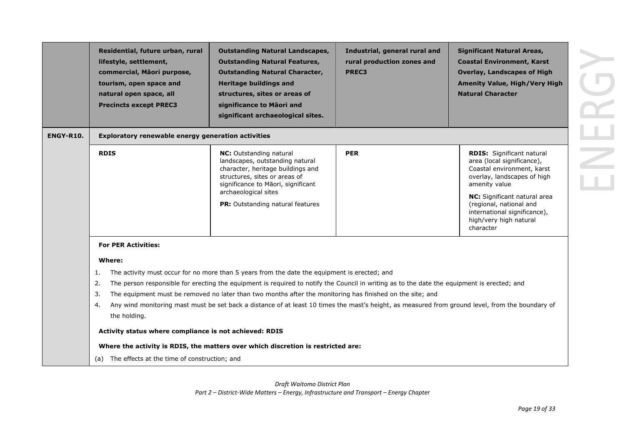|           | Residential, future urban, rural<br>lifestyle, settlement,<br>commercial, Māori purpose,<br>tourism, open space and<br>natural open space, all<br><b>Precincts except PREC3</b> | <b>Outstanding Natural Landscapes,</b><br><b>Outstanding Natural Features,</b><br><b>Outstanding Natural Character,</b><br><b>Heritage buildings and</b><br>structures, sites or areas of<br>significance to Māori and<br>significant archaeological sites.                                                                                                                                                                                                                                                                                                                                      | Industrial, general rural and<br>rural production zones and<br>PREC3 | <b>Significant Natural Areas,</b><br><b>Coastal Environment, Karst</b><br><b>Overlay, Landscapes of High</b><br><b>Amenity Value, High/Very High</b><br><b>Natural Character</b>                                                                                               |
|-----------|---------------------------------------------------------------------------------------------------------------------------------------------------------------------------------|--------------------------------------------------------------------------------------------------------------------------------------------------------------------------------------------------------------------------------------------------------------------------------------------------------------------------------------------------------------------------------------------------------------------------------------------------------------------------------------------------------------------------------------------------------------------------------------------------|----------------------------------------------------------------------|--------------------------------------------------------------------------------------------------------------------------------------------------------------------------------------------------------------------------------------------------------------------------------|
| ENGY-R10. | Exploratory renewable energy generation activities                                                                                                                              |                                                                                                                                                                                                                                                                                                                                                                                                                                                                                                                                                                                                  |                                                                      |                                                                                                                                                                                                                                                                                |
|           | <b>RDIS</b>                                                                                                                                                                     | <b>NC:</b> Outstanding natural<br>landscapes, outstanding natural<br>character, heritage buildings and<br>structures, sites or areas of<br>significance to Māori, significant<br>archaeological sites<br>PR: Outstanding natural features                                                                                                                                                                                                                                                                                                                                                        | <b>PER</b>                                                           | <b>RDIS:</b> Significant natural<br>area (local significance),<br>Coastal environment, karst<br>overlay, landscapes of high<br>amenity value<br>NC: Significant natural area<br>(regional, national and<br>international significance),<br>high/very high natural<br>character |
|           | <b>For PER Activities:</b>                                                                                                                                                      |                                                                                                                                                                                                                                                                                                                                                                                                                                                                                                                                                                                                  |                                                                      |                                                                                                                                                                                                                                                                                |
|           | Where:<br>1.<br>2.<br>3.<br>4.<br>the holding.<br>Activity status where compliance is not achieved: RDIS<br>(a) The effects at the time of construction; and                    | The activity must occur for no more than 5 years from the date the equipment is erected; and<br>The person responsible for erecting the equipment is required to notify the Council in writing as to the date the equipment is erected; and<br>The equipment must be removed no later than two months after the monitoring has finished on the site; and<br>Any wind monitoring mast must be set back a distance of at least 10 times the mast's height, as measured from ground level, from the boundary of<br>Where the activity is RDIS, the matters over which discretion is restricted are: |                                                                      |                                                                                                                                                                                                                                                                                |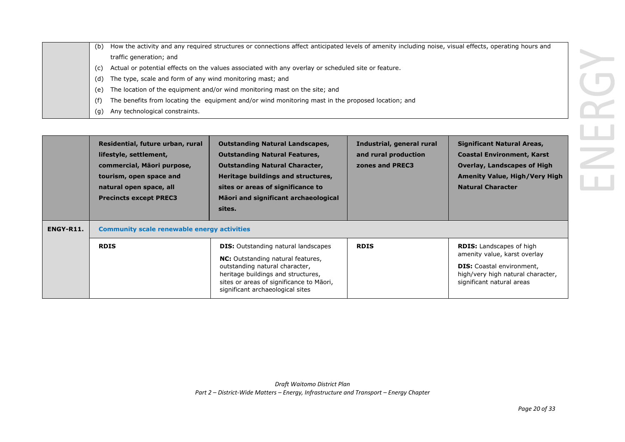| (b)<br>traffic generation; and<br>(c)<br>The type, scale and form of any wind monitoring mast; and<br>(d)<br>(e)<br>(f)<br>Any technological constraints.<br>(g)         | How the activity and any required structures or connections affect anticipated levels of amenity including noise, visual effects, operating hours and<br>Actual or potential effects on the values associated with any overlay or scheduled site or feature.<br>The location of the equipment and/or wind monitoring mast on the site; and<br>The benefits from locating the equipment and/or wind monitoring mast in the proposed location; and |                                                                      |                                                                                                                                                                                  |  |
|--------------------------------------------------------------------------------------------------------------------------------------------------------------------------|--------------------------------------------------------------------------------------------------------------------------------------------------------------------------------------------------------------------------------------------------------------------------------------------------------------------------------------------------------------------------------------------------------------------------------------------------|----------------------------------------------------------------------|----------------------------------------------------------------------------------------------------------------------------------------------------------------------------------|--|
| Residential, future urban, rural<br>lifestyle, settlement,<br>commercial, Māori purpose,<br>tourism, open space and<br>natural open space, all<br>Dresinske execut DDEC2 | <b>Outstanding Natural Landscapes,</b><br><b>Outstanding Natural Features,</b><br><b>Outstanding Natural Character,</b><br>Heritage buildings and structures,<br>sites or areas of significance to<br>Mācui and cianificant avehacological                                                                                                                                                                                                       | Industrial, general rural<br>and rural production<br>zones and PREC3 | <b>Significant Natural Areas,</b><br><b>Coastal Environment, Karst</b><br><b>Overlay, Landscapes of High</b><br><b>Amenity Value, High/Very High</b><br><b>Natural Character</b> |  |

|           | Residential, future urban, rural<br>lifestyle, settlement,<br>commercial, Māori purpose,<br>tourism, open space and<br>natural open space, all<br><b>Precincts except PREC3</b> | <b>Outstanding Natural Landscapes,</b><br><b>Outstanding Natural Features,</b><br><b>Outstanding Natural Character,</b><br>Heritage buildings and structures,<br>sites or areas of significance to<br>Māori and significant archaeological<br>sites. | Industrial, general rural<br>and rural production<br>zones and PREC3 | <b>Significant Natural Areas,</b><br><b>Coastal Environment, Karst</b><br><b>Overlay, Landscapes of High</b><br><b>Amenity Value, High/Very High</b><br><b>Natural Character</b> |
|-----------|---------------------------------------------------------------------------------------------------------------------------------------------------------------------------------|------------------------------------------------------------------------------------------------------------------------------------------------------------------------------------------------------------------------------------------------------|----------------------------------------------------------------------|----------------------------------------------------------------------------------------------------------------------------------------------------------------------------------|
| ENGY-R11. | <b>Community scale renewable energy activities</b>                                                                                                                              |                                                                                                                                                                                                                                                      |                                                                      |                                                                                                                                                                                  |
|           | <b>RDIS</b>                                                                                                                                                                     | <b>DIS:</b> Outstanding natural landscapes<br><b>NC:</b> Outstanding natural features,<br>outstanding natural character,<br>heritage buildings and structures,<br>sites or areas of significance to Māori,<br>significant archaeological sites       | <b>RDIS</b>                                                          | <b>RDIS:</b> Landscapes of high<br>amenity value, karst overlay<br><b>DIS:</b> Coastal environment,<br>high/very high natural character,<br>significant natural areas            |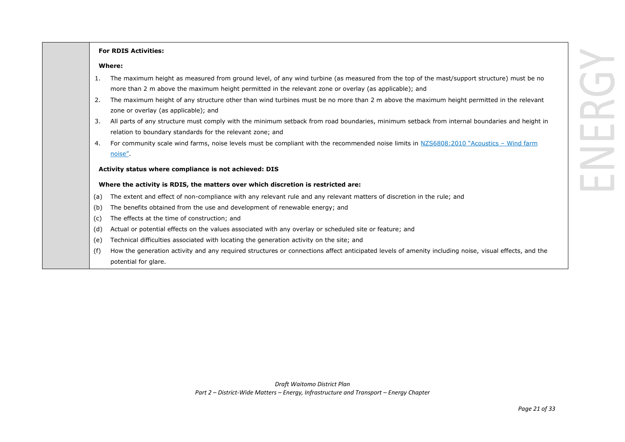# **For RDIS Activities:**

#### **Where:**

- 1. The maximum height as measured from ground level, of any wind turbine (as measured from the top of the mast/support structure) must be no more than 2 m above the maximum height permitted in the relevant zone or overlay (as applicable); and
- 2. The maximum height of any structure other than wind turbines must be no more than 2 m above the maximum height permitted in the relevant zone or overlay (as applicable); and
- 3. All parts of any structure must comply with the minimum setback from road boundaries, minimum setback from internal boundaries and height in relation to boundary standards for the relevant zone; and
- 4. For community scale wind farms, noise levels must be compliant with the recommended noise limits in NZS6808:2010 "Acoustics Wind farm noise".

#### **Activity status where compliance is not achieved: DIS**

#### **Where the activity is RDIS, the matters over which discretion is restricted are:**

- (a) The extent and effect of non-compliance with any relevant rule and any relevant matters of discretion in the rule; and
- (b) The benefits obtained from the use and development of renewable energy; and
- (c) The effects at the time of construction; and
- (d) Actual or potential effects on the values associated with any overlay or scheduled site or feature; and
- (e) Technical difficulties associated with locating the generation activity on the site; and
- (f) How the generation activity and any required structures or connections affect anticipated levels of amenity including noise, visual effects, and the potential for glare.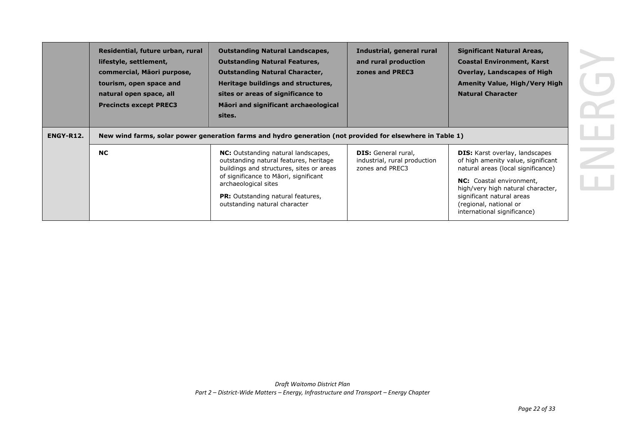| ENGY-R12. | Residential, future urban, rural<br>lifestyle, settlement,<br>commercial, Māori purpose,<br>tourism, open space and<br>natural open space, all<br><b>Precincts except PREC3</b> | <b>Outstanding Natural Landscapes,</b><br><b>Outstanding Natural Features,</b><br><b>Outstanding Natural Character,</b><br>Heritage buildings and structures,<br>sites or areas of significance to<br>Māori and significant archaeological<br>sites.<br>New wind farms, solar power generation farms and hydro generation (not provided for elsewhere in Table 1) | Industrial, general rural<br>and rural production<br>zones and PREC3          | <b>Significant Natural Areas,</b><br><b>Coastal Environment, Karst</b><br><b>Overlay, Landscapes of High</b><br><b>Amenity Value, High/Very High</b><br><b>Natural Character</b>                                                                                         |
|-----------|---------------------------------------------------------------------------------------------------------------------------------------------------------------------------------|-------------------------------------------------------------------------------------------------------------------------------------------------------------------------------------------------------------------------------------------------------------------------------------------------------------------------------------------------------------------|-------------------------------------------------------------------------------|--------------------------------------------------------------------------------------------------------------------------------------------------------------------------------------------------------------------------------------------------------------------------|
|           | <b>NC</b>                                                                                                                                                                       | NC: Outstanding natural landscapes,<br>outstanding natural features, heritage<br>buildings and structures, sites or areas<br>of significance to Maori, significant<br>archaeological sites<br><b>PR:</b> Outstanding natural features,<br>outstanding natural character                                                                                           | <b>DIS:</b> General rural,<br>industrial, rural production<br>zones and PREC3 | <b>DIS:</b> Karst overlay, landscapes<br>of high amenity value, significant<br>natural areas (local significance)<br>NC: Coastal environment,<br>high/very high natural character,<br>significant natural areas<br>(regional, national or<br>international significance) |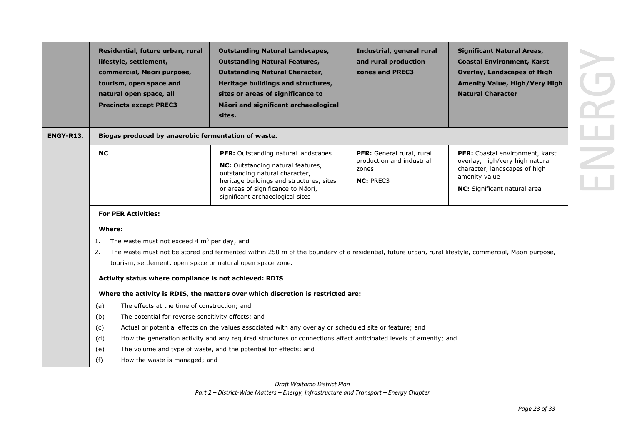|                  | Residential, future urban, rural<br>lifestyle, settlement,<br>commercial, Māori purpose,<br>tourism, open space and<br>natural open space, all<br><b>Precincts except PREC3</b>                                            | <b>Outstanding Natural Landscapes,</b><br><b>Outstanding Natural Features,</b><br><b>Outstanding Natural Character,</b><br>Heritage buildings and structures,<br>sites or areas of significance to<br>Māori and significant archaeological<br>sites. | Industrial, general rural<br>and rural production<br>zones and PREC3                | <b>Significant Natural Areas,</b><br><b>Coastal Environment, Karst</b><br><b>Overlay, Landscapes of High</b><br><b>Amenity Value, High/Very High</b><br><b>Natural Character</b> |
|------------------|----------------------------------------------------------------------------------------------------------------------------------------------------------------------------------------------------------------------------|------------------------------------------------------------------------------------------------------------------------------------------------------------------------------------------------------------------------------------------------------|-------------------------------------------------------------------------------------|----------------------------------------------------------------------------------------------------------------------------------------------------------------------------------|
| <b>ENGY-R13.</b> | Biogas produced by anaerobic fermentation of waste.                                                                                                                                                                        |                                                                                                                                                                                                                                                      |                                                                                     |                                                                                                                                                                                  |
|                  | <b>NC</b>                                                                                                                                                                                                                  | PER: Outstanding natural landscapes<br>NC: Outstanding natural features,<br>outstanding natural character,<br>heritage buildings and structures, sites<br>or areas of significance to Māori,<br>significant archaeological sites                     | PER: General rural, rural<br>production and industrial<br>zones<br><b>NC: PREC3</b> | PER: Coastal environment, karst<br>overlay, high/very high natural<br>character, landscapes of high<br>amenity value<br>NC: Significant natural area                             |
|                  | <b>For PER Activities:</b><br>Where:<br>The waste must not exceed 4 $m3$ per day; and<br>1.<br>2.<br>tourism, settlement, open space or natural open space zone.<br>Activity status where compliance is not achieved: RDIS | The waste must not be stored and fermented within 250 m of the boundary of a residential, future urban, rural lifestyle, commercial, Māori purpose,                                                                                                  |                                                                                     |                                                                                                                                                                                  |
|                  |                                                                                                                                                                                                                            | Where the activity is RDIS, the matters over which discretion is restricted are:                                                                                                                                                                     |                                                                                     |                                                                                                                                                                                  |
|                  | The effects at the time of construction; and<br>(a)<br>(b)<br>The potential for reverse sensitivity effects; and<br>(c)<br>(d)                                                                                             | Actual or potential effects on the values associated with any overlay or scheduled site or feature; and<br>How the generation activity and any required structures or connections affect anticipated levels of amenity; and                          |                                                                                     |                                                                                                                                                                                  |
|                  | (e)<br>(f)<br>How the waste is managed; and                                                                                                                                                                                | The volume and type of waste, and the potential for effects; and                                                                                                                                                                                     |                                                                                     |                                                                                                                                                                                  |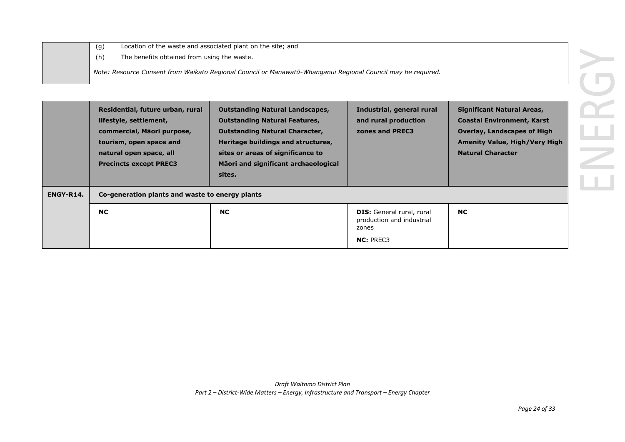|  |     | Location of the waste and associated plant on the site; and                                                  |  |
|--|-----|--------------------------------------------------------------------------------------------------------------|--|
|  | (h) | The benefits obtained from using the waste.                                                                  |  |
|  |     | Note: Resource Consent from Waikato Regional Council or Manawatū-Whanganui Regional Council may be reguired. |  |

|           | Residential, future urban, rural<br>lifestyle, settlement,<br>commercial, Māori purpose,<br>tourism, open space and<br>natural open space, all<br><b>Precincts except PREC3</b> | <b>Outstanding Natural Landscapes,</b><br><b>Outstanding Natural Features,</b><br><b>Outstanding Natural Character,</b><br>Heritage buildings and structures,<br>sites or areas of significance to<br>Māori and significant archaeological<br>sites. | Industrial, general rural<br>and rural production<br>zones and PREC3                       | <b>Significant Natural Areas,</b><br><b>Coastal Environment, Karst</b><br><b>Overlay, Landscapes of High</b><br><b>Amenity Value, High/Very High</b><br><b>Natural Character</b> |
|-----------|---------------------------------------------------------------------------------------------------------------------------------------------------------------------------------|------------------------------------------------------------------------------------------------------------------------------------------------------------------------------------------------------------------------------------------------------|--------------------------------------------------------------------------------------------|----------------------------------------------------------------------------------------------------------------------------------------------------------------------------------|
| ENGY-R14. | Co-generation plants and waste to energy plants                                                                                                                                 |                                                                                                                                                                                                                                                      |                                                                                            |                                                                                                                                                                                  |
|           | <b>NC</b>                                                                                                                                                                       | <b>NC</b>                                                                                                                                                                                                                                            | <b>DIS:</b> General rural, rural<br>production and industrial<br>zones<br><b>NC: PREC3</b> | <b>NC</b>                                                                                                                                                                        |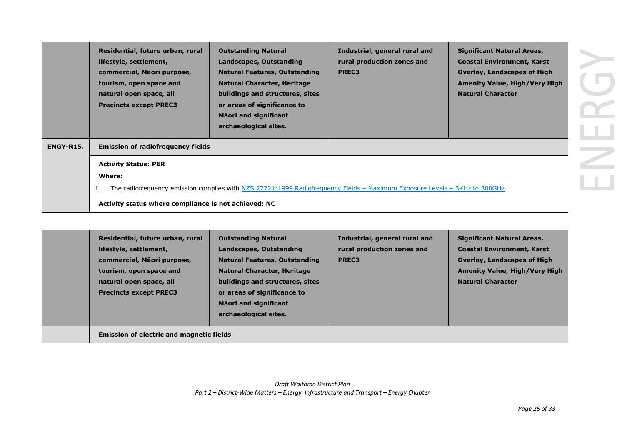|           | Residential, future urban, rural<br>lifestyle, settlement,<br>commercial, Māori purpose,<br>tourism, open space and<br>natural open space, all<br><b>Precincts except PREC3</b> | <b>Outstanding Natural</b><br>Landscapes, Outstanding<br><b>Natural Features, Outstanding</b><br><b>Natural Character, Heritage</b><br>buildings and structures, sites<br>or areas of significance to<br><b>Māori and significant</b><br>archaeological sites. | Industrial, general rural and<br>rural production zones and<br>PREC3 | <b>Significant Natural Areas,</b><br><b>Coastal Environment, Karst</b><br><b>Overlay, Landscapes of High</b><br><b>Amenity Value, High/Very High</b><br><b>Natural Character</b> |  |
|-----------|---------------------------------------------------------------------------------------------------------------------------------------------------------------------------------|----------------------------------------------------------------------------------------------------------------------------------------------------------------------------------------------------------------------------------------------------------------|----------------------------------------------------------------------|----------------------------------------------------------------------------------------------------------------------------------------------------------------------------------|--|
| ENGY-R15. | <b>Emission of radiofrequency fields</b>                                                                                                                                        |                                                                                                                                                                                                                                                                |                                                                      |                                                                                                                                                                                  |  |
|           | <b>Activity Status: PER</b>                                                                                                                                                     |                                                                                                                                                                                                                                                                |                                                                      |                                                                                                                                                                                  |  |
|           | Where:                                                                                                                                                                          |                                                                                                                                                                                                                                                                |                                                                      |                                                                                                                                                                                  |  |
|           |                                                                                                                                                                                 | The radiofrequency emission complies with NZS 27721:1999 Radiofrequency Fields - Maximum Exposure Levels - 3KHz to 300GHz.                                                                                                                                     |                                                                      |                                                                                                                                                                                  |  |
|           | Activity status where compliance is not achieved: NC                                                                                                                            |                                                                                                                                                                                                                                                                |                                                                      |                                                                                                                                                                                  |  |

| Residential, future urban, rural<br>lifestyle, settlement,<br>commercial, Māori purpose,<br>tourism, open space and<br>natural open space, all<br><b>Precincts except PREC3</b> | <b>Outstanding Natural</b><br>Landscapes, Outstanding<br><b>Natural Features, Outstanding</b><br><b>Natural Character, Heritage</b><br>buildings and structures, sites<br>or areas of significance to<br><b>Mäori and significant</b><br>archaeological sites. | Industrial, general rural and<br>rural production zones and<br><b>PREC3</b> | <b>Significant Natural Areas,</b><br><b>Coastal Environment, Karst</b><br><b>Overlay, Landscapes of High</b><br><b>Amenity Value, High/Very High</b><br><b>Natural Character</b> |
|---------------------------------------------------------------------------------------------------------------------------------------------------------------------------------|----------------------------------------------------------------------------------------------------------------------------------------------------------------------------------------------------------------------------------------------------------------|-----------------------------------------------------------------------------|----------------------------------------------------------------------------------------------------------------------------------------------------------------------------------|
| <b>Emission of electric and magnetic fields</b>                                                                                                                                 |                                                                                                                                                                                                                                                                |                                                                             |                                                                                                                                                                                  |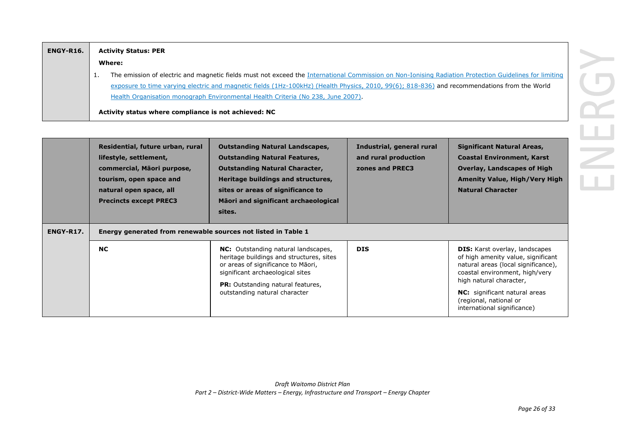| ENGY-R16. | <b>Activity Status: PER</b>                                                                                                                            |
|-----------|--------------------------------------------------------------------------------------------------------------------------------------------------------|
|           | Where:                                                                                                                                                 |
|           | The emission of electric and magnetic fields must not exceed the International Commission on Non-Ionising Radiation Protection Guidelines for limiting |
|           | exposure to time varying electric and magnetic fields (1Hz-100kHz) (Health Physics, 2010, 99(6); 818-836) and recommendations from the World           |
|           | Health Organisation monograph Environmental Health Criteria (No 238, June 2007).                                                                       |
|           | Activity status where compliance is not achieved: NC                                                                                                   |

| ENGY-R17. | Residential, future urban, rural<br>lifestyle, settlement,<br>commercial, Māori purpose,<br>tourism, open space and<br>natural open space, all<br><b>Precincts except PREC3</b><br>Energy generated from renewable sources not listed in Table 1 | <b>Outstanding Natural Landscapes,</b><br><b>Outstanding Natural Features,</b><br><b>Outstanding Natural Character,</b><br>Heritage buildings and structures,<br>sites or areas of significance to<br>Māori and significant archaeological<br>sites. | Industrial, general rural<br>and rural production<br>zones and PREC3 | <b>Significant Natural Areas,</b><br><b>Coastal Environment, Karst</b><br><b>Overlay, Landscapes of High</b><br><b>Amenity Value, High/Very High</b><br><b>Natural Character</b>                                                                                                 |
|-----------|--------------------------------------------------------------------------------------------------------------------------------------------------------------------------------------------------------------------------------------------------|------------------------------------------------------------------------------------------------------------------------------------------------------------------------------------------------------------------------------------------------------|----------------------------------------------------------------------|----------------------------------------------------------------------------------------------------------------------------------------------------------------------------------------------------------------------------------------------------------------------------------|
|           | <b>NC</b>                                                                                                                                                                                                                                        | <b>NC:</b> Outstanding natural landscapes,<br>heritage buildings and structures, sites<br>or areas of significance to Māori,<br>significant archaeological sites<br><b>PR:</b> Outstanding natural features,<br>outstanding natural character        | <b>DIS</b>                                                           | <b>DIS:</b> Karst overlay, landscapes<br>of high amenity value, significant<br>natural areas (local significance),<br>coastal environment, high/very<br>high natural character,<br><b>NC:</b> significant natural areas<br>(regional, national or<br>international significance) |

RG

ی<br>اللہ

 $\geq$ 

 $\overline{1}$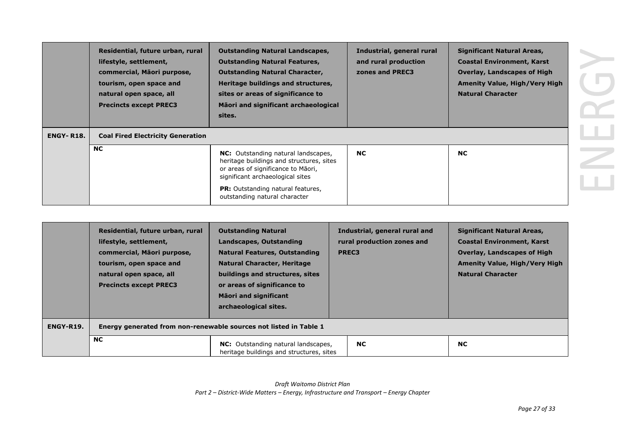| <b>ENGY-R18.</b> | Residential, future urban, rural<br>lifestyle, settlement,<br>commercial, Māori purpose,<br>tourism, open space and<br>natural open space, all<br><b>Precincts except PREC3</b><br><b>Coal Fired Electricity Generation</b> | <b>Outstanding Natural Landscapes,</b><br><b>Outstanding Natural Features,</b><br><b>Outstanding Natural Character,</b><br>Heritage buildings and structures,<br>sites or areas of significance to<br>Māori and significant archaeological<br>sites. | Industrial, general rural<br>and rural production<br>zones and PREC3 | <b>Significant Natural Areas,</b><br><b>Coastal Environment, Karst</b><br><b>Overlay, Landscapes of High</b><br><b>Amenity Value, High/Very High</b><br><b>Natural Character</b> |  |
|------------------|-----------------------------------------------------------------------------------------------------------------------------------------------------------------------------------------------------------------------------|------------------------------------------------------------------------------------------------------------------------------------------------------------------------------------------------------------------------------------------------------|----------------------------------------------------------------------|----------------------------------------------------------------------------------------------------------------------------------------------------------------------------------|--|
|                  | <b>NC</b>                                                                                                                                                                                                                   | <b>NC:</b> Outstanding natural landscapes,<br>heritage buildings and structures, sites<br>or areas of significance to Māori,<br>significant archaeological sites<br><b>PR:</b> Outstanding natural features,<br>outstanding natural character        | <b>NC</b>                                                            | <b>NC</b>                                                                                                                                                                        |  |

|           | Residential, future urban, rural<br>lifestyle, settlement,<br>commercial, Māori purpose,<br>tourism, open space and<br>natural open space, all<br><b>Precincts except PREC3</b> | <b>Outstanding Natural</b><br>Landscapes, Outstanding<br><b>Natural Features, Outstanding</b><br><b>Natural Character, Heritage</b><br>buildings and structures, sites<br>or areas of significance to<br><b>Mäori and significant</b><br>archaeological sites. | Industrial, general rural and<br>rural production zones and<br>PREC3 | <b>Significant Natural Areas,</b><br><b>Coastal Environment, Karst</b><br><b>Overlay, Landscapes of High</b><br><b>Amenity Value, High/Very High</b><br><b>Natural Character</b> |
|-----------|---------------------------------------------------------------------------------------------------------------------------------------------------------------------------------|----------------------------------------------------------------------------------------------------------------------------------------------------------------------------------------------------------------------------------------------------------------|----------------------------------------------------------------------|----------------------------------------------------------------------------------------------------------------------------------------------------------------------------------|
| ENGY-R19. |                                                                                                                                                                                 | Energy generated from non-renewable sources not listed in Table 1                                                                                                                                                                                              |                                                                      |                                                                                                                                                                                  |
|           | <b>NC</b>                                                                                                                                                                       | <b>NC:</b> Outstanding natural landscapes,<br>heritage buildings and structures, sites                                                                                                                                                                         | <b>NC</b>                                                            | <b>NC</b>                                                                                                                                                                        |

*Draft Waitomo District Plan Part 2 – District-Wide Matters – Energy, Infrastructure and Transport – Energy Chapter*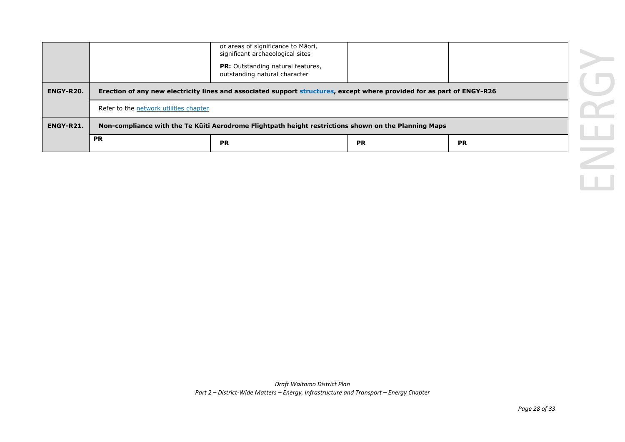|           |                                                                                                                        | or areas of significance to Māori,<br>significant archaeological sites    |  |  |  |
|-----------|------------------------------------------------------------------------------------------------------------------------|---------------------------------------------------------------------------|--|--|--|
|           |                                                                                                                        | <b>PR:</b> Outstanding natural features,<br>outstanding natural character |  |  |  |
| ENGY-R20. | Erection of any new electricity lines and associated support structures, except where provided for as part of ENGY-R26 |                                                                           |  |  |  |
|           | Refer to the network utilities chapter                                                                                 |                                                                           |  |  |  |
| ENGY-R21. | Non-compliance with the Te Küiti Aerodrome Flightpath height restrictions shown on the Planning Maps                   |                                                                           |  |  |  |
|           | <b>PR</b>                                                                                                              |                                                                           |  |  |  |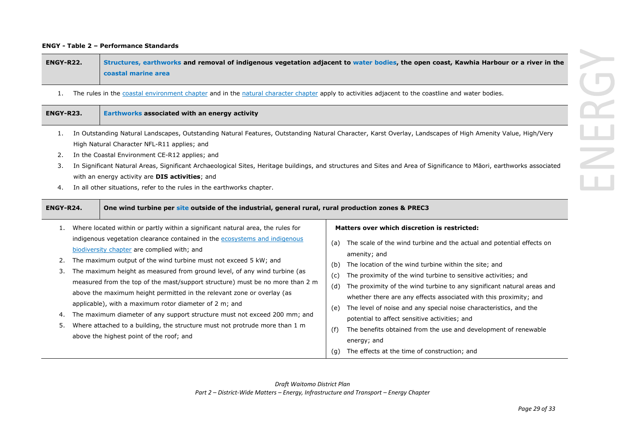#### **ENGY - Table 2 – Performance Standards**

| <b>ENGY-R22.</b> | Structures, earthworks and removal of indigenous vegetation adjacent to water bodies, the open coast, Kawhia Harbour or a river in the |
|------------------|----------------------------------------------------------------------------------------------------------------------------------------|
|                  | <b>Coastal marine area</b>                                                                                                             |

1. The rules in the coastal environment chapter and in the natural character chapter apply to activities adjacent to the coastline and water bodies.

| ENGY-R23.                  | Earthworks associated with an energy activity                                                                                                                                                                                                                                                                                                                                                                                                                                                                                                                                                                                                                                                                                                                                              |                                                                                                                                                                                                                                                                                                                                                                                                                                                                                                                                                                                                                                                                                                                          |
|----------------------------|--------------------------------------------------------------------------------------------------------------------------------------------------------------------------------------------------------------------------------------------------------------------------------------------------------------------------------------------------------------------------------------------------------------------------------------------------------------------------------------------------------------------------------------------------------------------------------------------------------------------------------------------------------------------------------------------------------------------------------------------------------------------------------------------|--------------------------------------------------------------------------------------------------------------------------------------------------------------------------------------------------------------------------------------------------------------------------------------------------------------------------------------------------------------------------------------------------------------------------------------------------------------------------------------------------------------------------------------------------------------------------------------------------------------------------------------------------------------------------------------------------------------------------|
| 1.<br>2.<br>3.<br>4.       | In Outstanding Natural Landscapes, Outstanding Natural Features, Outstanding Natural Character, Karst Overlay, Landscapes of High Amenity Value, High/Very<br>High Natural Character NFL-R11 applies; and<br>In the Coastal Environment CE-R12 applies; and<br>In Significant Natural Areas, Significant Archaeological Sites, Heritage buildings, and structures and Sites and Area of Significance to Māori, earthworks associated<br>with an energy activity are <b>DIS activities</b> ; and<br>In all other situations, refer to the rules in the earthworks chapter.                                                                                                                                                                                                                  |                                                                                                                                                                                                                                                                                                                                                                                                                                                                                                                                                                                                                                                                                                                          |
| ENGY-R24.                  | One wind turbine per site outside of the industrial, general rural, rural production zones & PREC3                                                                                                                                                                                                                                                                                                                                                                                                                                                                                                                                                                                                                                                                                         |                                                                                                                                                                                                                                                                                                                                                                                                                                                                                                                                                                                                                                                                                                                          |
| 1.<br>2.<br>3.<br>4.<br>5. | Where located within or partly within a significant natural area, the rules for<br>indigenous vegetation clearance contained in the ecosystems and indigenous<br>biodiversity chapter are complied with; and<br>The maximum output of the wind turbine must not exceed 5 kW; and<br>The maximum height as measured from ground level, of any wind turbine (as<br>measured from the top of the mast/support structure) must be no more than 2 m<br>above the maximum height permitted in the relevant zone or overlay (as<br>applicable), with a maximum rotor diameter of 2 m; and<br>The maximum diameter of any support structure must not exceed 200 mm; and<br>Where attached to a building, the structure must not protrude more than 1 m<br>above the highest point of the roof; and | Matters over which discretion is restricted:<br>The scale of the wind turbine and the actual and potential effects on<br>(a)<br>amenity; and<br>The location of the wind turbine within the site; and<br>(b)<br>The proximity of the wind turbine to sensitive activities; and<br>(c)<br>The proximity of the wind turbine to any significant natural areas and<br>(d)<br>whether there are any effects associated with this proximity; and<br>The level of noise and any special noise characteristics, and the<br>(e)<br>potential to affect sensitive activities; and<br>The benefits obtained from the use and development of renewable<br>(f)<br>energy; and<br>The effects at the time of construction; and<br>(g) |

*Draft Waitomo District Plan Part 2 – District-Wide Matters – Energy, Infrastructure and Transport – Energy Chapter*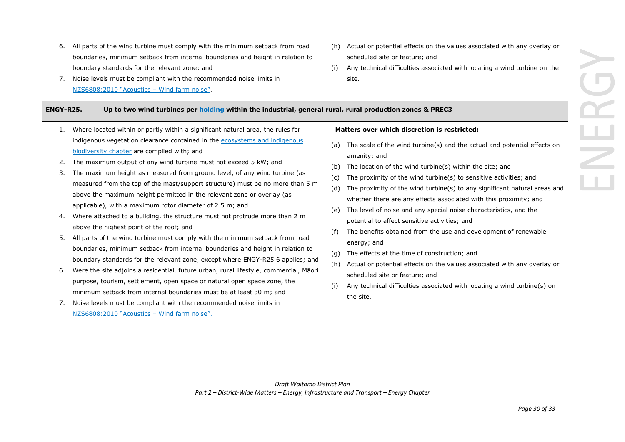| ENGY-R25.<br>Up to two wind turbines per holding within the industrial, general rural, rural production zones & PREC3<br>Where located within or partly within a significant natural area, the rules for<br>Matters over which discretion is restricted:<br>1.<br>indigenous vegetation clearance contained in the ecosystems and indigenous<br>The scale of the wind turbine(s) and the actual and potential effects on<br>(a)<br>biodiversity chapter are complied with; and<br>amenity; and<br>The maximum output of any wind turbine must not exceed 5 kW; and<br>2.<br>The location of the wind turbine(s) within the site; and<br>(b)<br>The maximum height as measured from ground level, of any wind turbine (as<br>3.<br>The proximity of the wind turbine(s) to sensitive activities; and<br>(c)<br>measured from the top of the mast/support structure) must be no more than 5 m<br>The proximity of the wind turbine(s) to any significant natural areas and<br>(d)<br>above the maximum height permitted in the relevant zone or overlay (as<br>whether there are any effects associated with this proximity; and<br>applicable), with a maximum rotor diameter of 2.5 m; and<br>The level of noise and any special noise characteristics, and the<br>(e)<br>Where attached to a building, the structure must not protrude more than 2 m<br>4.<br>potential to affect sensitive activities; and<br>above the highest point of the roof; and<br>The benefits obtained from the use and development of renewable<br>All parts of the wind turbine must comply with the minimum setback from road<br>5.<br>energy; and<br>boundaries, minimum setback from internal boundaries and height in relation to<br>The effects at the time of construction; and<br>(g)<br>boundary standards for the relevant zone, except where ENGY-R25.6 applies; and<br>Actual or potential effects on the values associated with any overlay or<br>(h)<br>Were the site adjoins a residential, future urban, rural lifestyle, commercial, Māori<br>6.<br>scheduled site or feature; and<br>purpose, tourism, settlement, open space or natural open space zone, the<br>Any technical difficulties associated with locating a wind turbine(s) on<br>minimum setback from internal boundaries must be at least 30 m; and<br>the site.<br>Noise levels must be compliant with the recommended noise limits in<br>7.<br>NZS6808:2010 "Acoustics - Wind farm noise". | 6.<br>7. | All parts of the wind turbine must comply with the minimum setback from road<br>boundaries, minimum setback from internal boundaries and height in relation to<br>boundary standards for the relevant zone; and<br>Noise levels must be compliant with the recommended noise limits in<br>NZS6808:2010 "Acoustics - Wind farm noise". | (h)<br>(i) | Actual or potential effects on the values associated with any overlay or<br>scheduled site or feature; and<br>Any technical difficulties associated with locating a wind turbine on the<br>site. |  |
|---------------------------------------------------------------------------------------------------------------------------------------------------------------------------------------------------------------------------------------------------------------------------------------------------------------------------------------------------------------------------------------------------------------------------------------------------------------------------------------------------------------------------------------------------------------------------------------------------------------------------------------------------------------------------------------------------------------------------------------------------------------------------------------------------------------------------------------------------------------------------------------------------------------------------------------------------------------------------------------------------------------------------------------------------------------------------------------------------------------------------------------------------------------------------------------------------------------------------------------------------------------------------------------------------------------------------------------------------------------------------------------------------------------------------------------------------------------------------------------------------------------------------------------------------------------------------------------------------------------------------------------------------------------------------------------------------------------------------------------------------------------------------------------------------------------------------------------------------------------------------------------------------------------------------------------------------------------------------------------------------------------------------------------------------------------------------------------------------------------------------------------------------------------------------------------------------------------------------------------------------------------------------------------------------------------------------------------------------------------------------------------------------------------------------------------------------------|----------|---------------------------------------------------------------------------------------------------------------------------------------------------------------------------------------------------------------------------------------------------------------------------------------------------------------------------------------|------------|--------------------------------------------------------------------------------------------------------------------------------------------------------------------------------------------------|--|
|                                                                                                                                                                                                                                                                                                                                                                                                                                                                                                                                                                                                                                                                                                                                                                                                                                                                                                                                                                                                                                                                                                                                                                                                                                                                                                                                                                                                                                                                                                                                                                                                                                                                                                                                                                                                                                                                                                                                                                                                                                                                                                                                                                                                                                                                                                                                                                                                                                                         |          |                                                                                                                                                                                                                                                                                                                                       |            |                                                                                                                                                                                                  |  |
|                                                                                                                                                                                                                                                                                                                                                                                                                                                                                                                                                                                                                                                                                                                                                                                                                                                                                                                                                                                                                                                                                                                                                                                                                                                                                                                                                                                                                                                                                                                                                                                                                                                                                                                                                                                                                                                                                                                                                                                                                                                                                                                                                                                                                                                                                                                                                                                                                                                         |          |                                                                                                                                                                                                                                                                                                                                       |            |                                                                                                                                                                                                  |  |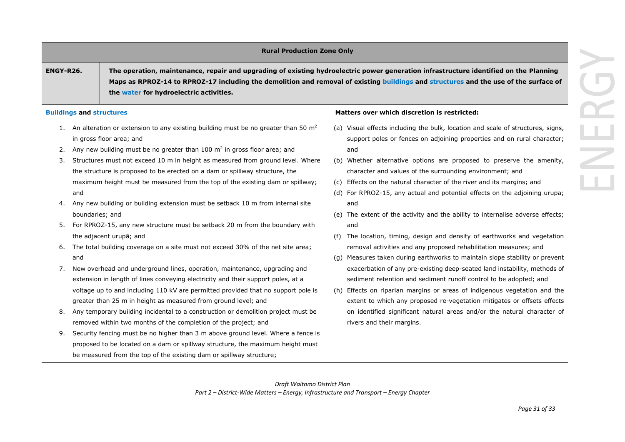# **Rural Production Zone Only**

**ENGY-R26. The operation, maintenance, repair and upgrading of existing hydroelectric power generation infrastructure identified on the Planning Maps as RPROZ-14 to RPROZ-17 including the demolition and removal of existing buildings and structures and the use of the surface of the water for hydroelectric activities.** 

#### **Buildings and structures**

- 1. An alteration or extension to any existing building must be no greater than 50  $m<sup>2</sup>$ in gross floor area; and
- 2. Any new building must be no greater than  $100 \text{ m}^2$  in gross floor area; and
- 3. Structures must not exceed 10 m in height as measured from ground level. Where the structure is proposed to be erected on a dam or spillway structure, the maximum height must be measured from the top of the existing dam or spillway; and
- 4. Any new building or building extension must be setback 10 m from internal site boundaries; and
- 5. For RPROZ-15, any new structure must be setback 20 m from the boundary with the adjacent urupā; and
- 6. The total building coverage on a site must not exceed 30% of the net site area; and
- 7. New overhead and underground lines, operation, maintenance, upgrading and extension in length of lines conveying electricity and their support poles, at a voltage up to and including 110 kV are permitted provided that no support pole is greater than 25 m in height as measured from ground level; and
- 8. Any temporary building incidental to a construction or demolition project must be removed within two months of the completion of the project; and
- 9. Security fencing must be no higher than 3 m above ground level. Where a fence is proposed to be located on a dam or spillway structure, the maximum height must be measured from the top of the existing dam or spillway structure;

### **Matters over which discretion is restricted:**

- (a) Visual effects including the bulk, location and scale of structures, signs, support poles or fences on adjoining properties and on rural character; and
- (b) Whether alternative options are proposed to preserve the amenity, character and values of the surrounding environment; and
- (c) Effects on the natural character of the river and its margins; and
- (d) For RPROZ-15, any actual and potential effects on the adjoining urupa; and
- (e) The extent of the activity and the ability to internalise adverse effects; and
- (f) The location, timing, design and density of earthworks and vegetation removal activities and any proposed rehabilitation measures; and
- (g) Measures taken during earthworks to maintain slope stability or prevent exacerbation of any pre-existing deep-seated land instability, methods of sediment retention and sediment runoff control to be adopted; and
- (h) Effects on riparian margins or areas of indigenous vegetation and the extent to which any proposed re-vegetation mitigates or offsets effects on identified significant natural areas and/or the natural character of rivers and their margins.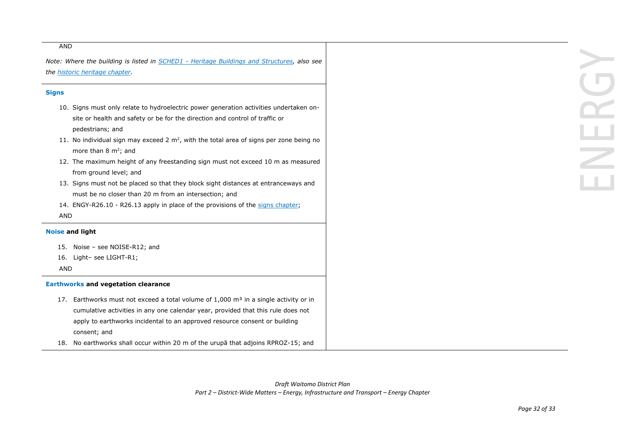#### AND

*Note: Where the building is listed in SCHED1 - Heritage Buildings and Structures, also see the historic heritage chapter.*

# **Signs**

- 10. Signs must only relate to hydroelectric power generation activities undertaken onsite or health and safety or be for the direction and control of traffic or pedestrians; and
- 11. No individual sign may exceed 2  $m^2$ , with the total area of signs per zone being no more than 8  $m^2$ ; and
- 12. The maximum height of any freestanding sign must not exceed 10 m as measured from ground level; and
- 13. Signs must not be placed so that they block sight distances at entranceways and must be no closer than 20 m from an intersection; and
- 14. ENGY-R26.10 R26.13 apply in place of the provisions of the signs chapter; AND

# **Noise and light**

- 15. Noise see NOISE-R12; and
- 16. Light– see LIGHT-R1;

AND

# **Earthworks and vegetation clearance**

- 17. Earthworks must not exceed a total volume of  $1,000$  m<sup>3</sup> in a single activity or in cumulative activities in any one calendar year, provided that this rule does not apply to earthworks incidental to an approved resource consent or building consent; and
- 18. No earthworks shall occur within 20 m of the urupā that adjoins RPROZ-15; and